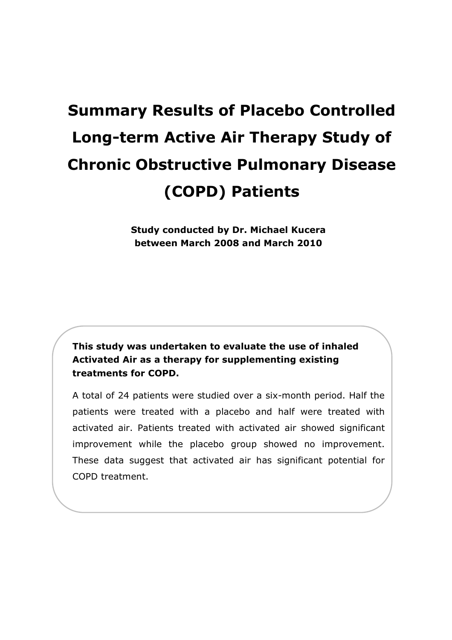# **Summary Results of Placebo Controlled Long-term Active Air Therapy Study of Chronic Obstructive Pulmonary Disease (COPD) Patients**

**Study conducted by Dr. Michael Kucera between March 2008 and March 2010** 

**This study was undertaken to evaluate the use of inhaled Activated Air as a therapy for supplementing existing treatments for COPD.** 

A total of 24 patients were studied over a six-month period. Half the patients were treated with a placebo and half were treated with activated air. Patients treated with activated air showed significant improvement while the placebo group showed no improvement. These data suggest that activated air has significant potential for COPD treatment.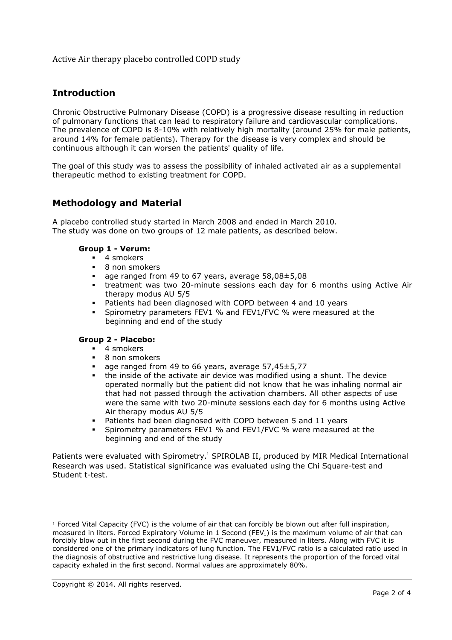## **Introduction**

Chronic Obstructive Pulmonary Disease (COPD) is a progressive disease resulting in reduction of pulmonary functions that can lead to respiratory failure and cardiovascular complications. The prevalence of COPD is 8-10% with relatively high mortality (around 25% for male patients, around 14% for female patients). Therapy for the disease is very complex and should be continuous although it can worsen the patients' quality of life.

The goal of this study was to assess the possibility of inhaled activated air as a supplemental therapeutic method to existing treatment for COPD.

## **Methodology and Material**

A placebo controlled study started in March 2008 and ended in March 2010. The study was done on two groups of 12 male patients, as described below.

#### **Group 1 - Verum:**

- $\blacksquare$  4 smokers
- **B** 8 non smokers
- $\blacksquare$  age ranged from 49 to 67 years, average 58,08 $\pm$ 5,08
- treatment was two 20-minute sessions each day for 6 months using Active Air therapy modus AU 5/5
- **Patients had been diagnosed with COPD between 4 and 10 years**
- **Spirometry parameters FEV1 % and FEV1/FVC % were measured at the** beginning and end of the study

#### **Group 2 - Placebo:**

- $\blacksquare$  4 smokers
- **B** non smokers
- $\blacksquare$  age ranged from 49 to 66 years, average 57,45 $\pm$ 5,77
- the inside of the activate air device was modified using a shunt. The device operated normally but the patient did not know that he was inhaling normal air that had not passed through the activation chambers. All other aspects of use were the same with two 20-minute sessions each day for 6 months using Active Air therapy modus AU 5/5
- **Patients had been diagnosed with COPD between 5 and 11 years**
- **Spirometry parameters FEV1 % and FEV1/FVC % were measured at the** beginning and end of the study

Patients were evaluated with Spirometry.<sup>1</sup> SPIROLAB II, produced by MIR Medical International Research was used. Statistical significance was evaluated using the Chi Square-test and Student t-test.

<sup>1</sup> Forced Vital Capacity (FVC) is the volume of air that can forcibly be blown out after full inspiration, measured in liters. Forced Expiratory Volume in 1 Second (FEV<sub>1</sub>) is the maximum volume of air that can forcibly blow out in the first second during the FVC maneuver, measured in liters. Along with FVC it is considered one of the primary indicators of lung function. The FEV1/FVC ratio is a calculated ratio used in the diagnosis of obstructive and restrictive lung disease. It represents the proportion of the forced vital capacity exhaled in the first second. Normal values are approximately 80%.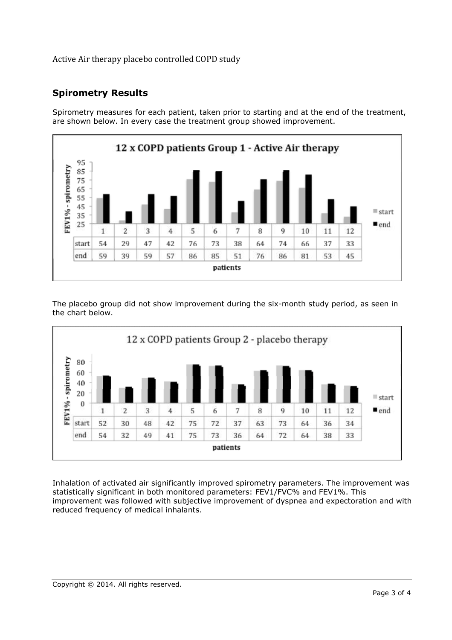# **Spirometry Results**

Spirometry measures for each patient, taken prior to starting and at the end of the treatment, are shown below. In every case the treatment group showed improvement.



The placebo group did not show improvement during the six-month study period, as seen in the chart below.



Inhalation of activated air significantly improved spirometry parameters. The improvement was statistically significant in both monitored parameters: FEV1/FVC% and FEV1%. This improvement was followed with subjective improvement of dyspnea and expectoration and with reduced frequency of medical inhalants.